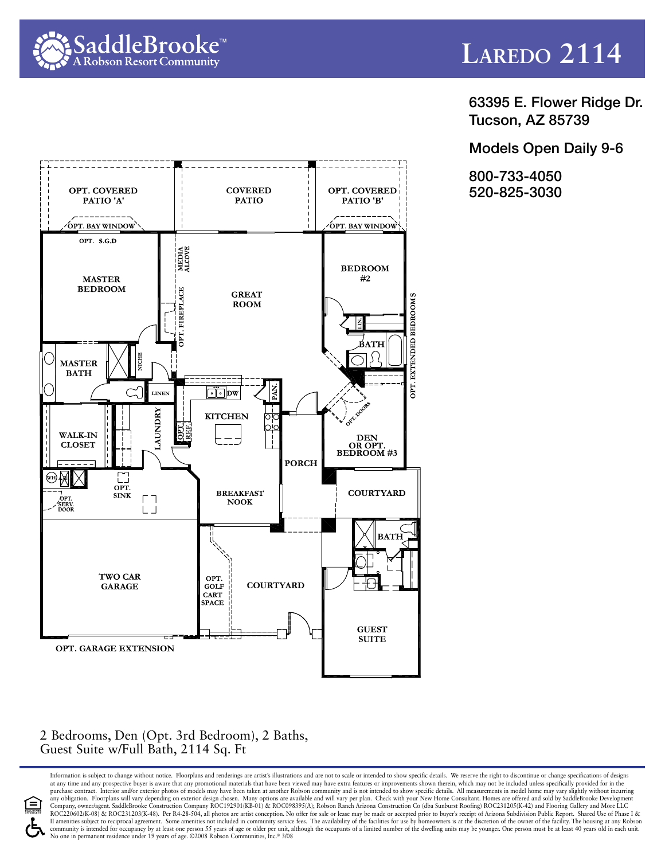



63395 E. Flower Ridge Dr. Tucson, AZ 85739

Models Open Daily 9-6

800-733-4050 520-825-3030



## 2 Bedrooms, Den (Opt. 3rd Bedroom), 2 Baths, Guest Suite w/Full Bath, 2114 Sq. Ft

Information is subject to change without notice. Floorplans and renderings are artist's illustrations and are not to scale or intended to show specific details. We reserve the right to discontinue or change specifications at any time and any prospective buyer is aware that any promotional materials that have been viewed may have extra features or improvements shown therein, which may not be included unless specifically provided for in the<br>p any obligation. Floorplans will vary depending on exterior design chosen. Many options are available and will vary per plan. Check with your New Home Consultant. Homes are offered and sold by SaddleBrooke Development<br>Compa ROC220602(K-08) & ROC231203(K-48). Per R4-28-504, all photos are artist conception. No offer for sale or lease may be made or accepted prior to buyer's receipt of Arizona Subdivision Public Report. Shared Use of Phase I & Il amenities subject to reciprocal agreement. Some amenities not included in community service fees. The availability of the facilities for use by homeowners is at the discretion of the owner of the facility. The housing a community is intended for occupancy by at least one person 55 years of age or older per unit, although the occupants of a limited number of the dwelling units may be younger. One person must be at least 40 years old in eac